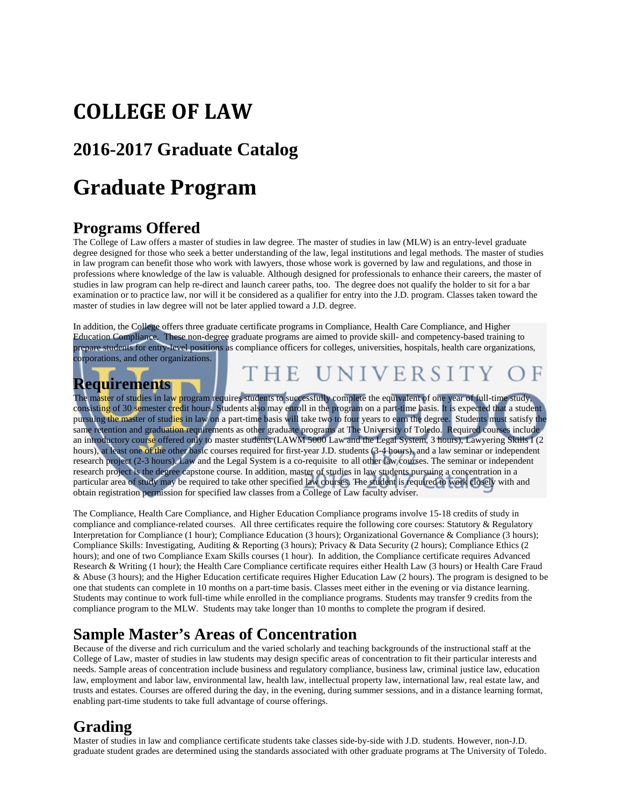# **COLLEGE OF LAW**

## **2016-2017 Graduate Catalog**

## **Graduate Program**

### **Programs Offered**

The College of Law offers a master of studies in law degree. The master of studies in law (MLW) is an entry-level graduate degree designed for those who seek a better understanding of the law, legal institutions and legal methods. The master of studies in law program can benefit those who work with lawyers, those whose work is governed by law and regulations, and those in professions where knowledge of the law is valuable. Although designed for professionals to enhance their careers, the master of studies in law program can help re-direct and launch career paths, too. The degree does not qualify the holder to sit for a bar examination or to practice law, nor will it be considered as a qualifier for entry into the J.D. program. Classes taken toward the master of studies in law degree will not be later applied toward a J.D. degree.

In addition, the College offers three graduate certificate programs in Compliance, Health Care Compliance, and Higher Education Compliance. These non-degree graduate programs are aimed to provide skill- and competency-based training to prepare students for entry-level positions as compliance officers for colleges, universities, hospitals, health care organizations, corporations, and other organizations.

## **Requirements**

HE UNIVERSI

The master of studies in law program requires students to successfully complete the equivalent of one year of full-time study, consisti<mark>ng</mark> of 30 semester credit hours. Students also may enroll in the program on a part-time basis. It is expected that a student pursuing the master of studies in law on a part-time basis will take two to four years to earn the degree. Students must satisfy the same retention and graduation requirements as other graduate programs at The University of Toledo. Required courses include an introductory course offered only to master students (LAWM 5000 Law and the Legal System, 3 hours), Lawyering Skills I (2 hours), at least one of the other basic courses required for first-year J.D. students (3-4 hours), and a law seminar or independent research project (2-3 hours). Law and the Legal System is a co-requisite to all other law courses. The seminar or independent research project is the degree capstone course. In addition, master of studies in law students pursuing a concentration in a particular area of study may be required to take other specified law courses. The student is required to work closely with and obtain registration permission for specified law classes from a College of Law faculty adviser.

The Compliance, Health Care Compliance, and Higher Education Compliance programs involve 15-18 credits of study in compliance and compliance-related courses. All three certificates require the following core courses: Statutory & Regulatory Interpretation for Compliance (1 hour); Compliance Education (3 hours); Organizational Governance & Compliance (3 hours); Compliance Skills: Investigating, Auditing & Reporting (3 hours); Privacy & Data Security (2 hours); Compliance Ethics (2 hours); and one of two Compliance Exam Skills courses (1 hour). In addition, the Compliance certificate requires Advanced Research & Writing (1 hour); the Health Care Compliance certificate requires either Health Law (3 hours) or Health Care Fraud & Abuse (3 hours); and the Higher Education certificate requires Higher Education Law (2 hours). The program is designed to be one that students can complete in 10 months on a part-time basis. Classes meet either in the evening or via distance learning. Students may continue to work full-time while enrolled in the compliance programs. Students may transfer 9 credits from the compliance program to the MLW. Students may take longer than 10 months to complete the program if desired.

#### **Sample Master's Areas of Concentration**

Because of the diverse and rich curriculum and the varied scholarly and teaching backgrounds of the instructional staff at the College of Law, master of studies in law students may design specific areas of concentration to fit their particular interests and needs. Sample areas of concentration include business and regulatory compliance, business law, criminal justice law, education law, employment and labor law, environmental law, health law, intellectual property law, international law, real estate law, and trusts and estates. Courses are offered during the day, in the evening, during summer sessions, and in a distance learning format, enabling part-time students to take full advantage of course offerings.

### **Grading**

Master of studies in law and compliance certificate students take classes side-by-side with J.D. students. However, non-J.D. graduate student grades are determined using the standards associated with other graduate programs at The University of Toledo.